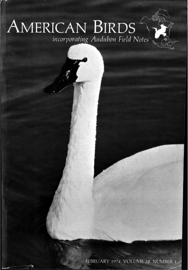# AMERICAN BIRDS

FEBRUARY 1974, VOLUME 28, NUMBER 1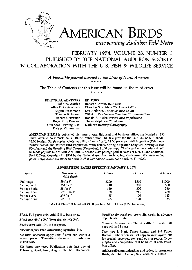

### **FEBRUARY 1974, VOLUME 25, NUMBER I PUBUSHED BY THE NATIONAL AUDUBON SOCIETY IN COLLABORATION WITH THE U.S. FISH & WILDUFE SERVICE**

A bimonthly journal devoted to the birds of North America

The Table of Contents for this issue will be found on the third cover

\* \* \* \*

**EDITORIAL ADVISORS EDITORS** 

| John W. Aldrich             | Robert S. Arbib, Jr./Editor                    |
|-----------------------------|------------------------------------------------|
| Allan D. Cruickshank        | Chandler S. Robbins/Technical Editor           |
| Eugene Eisenmann            | Lois Heilbrun/Christmas Bird Count             |
| Thomas R. Howell            | Willet T. Van Velzen/Breeding Bird Populations |
| Robert J. Newman            | Ronald A. Ryder/Winter Bird Populations        |
| Roger Tory Peterson         | Thana Siriphorn/Circulation                    |
| Olin Sewall Pettingill, Jr. | Kathleen Rafferty/Cartography                  |
| Dale A. Zimmerman           |                                                |
|                             |                                                |

**AMERICAN BIRDS is published six times a year. Editorial and business offices are located at 950 Third Avenue, New York, N.Y. 10022. Subscription: \$8.00 a year for the U.S. A., \$8.50 Canada, \$9.00 foreign. Single copies: Christmas Bird Count (April), \$4.50 per copy; Fall Migration (February),**  Winter Season and Winter Bird Population Study (June), Spring Migration (August), Nesting Season **(October) and the Breeding Bird Census (December), \$1.50 per copy. Checks and money orders should be made payable to AMERICAN BIRDS. Second class postage paid at New York, N.Y. and additional**  Post Offices. Copyright<sup>®</sup> 1974 by the National Audubon Society, Inc. Postmaster: if undeliverable, please notify American Birds on Form 3579 at 950 Third Avenue, New York, N.Y. 10022.

#### **ADVERTISING RATES EFFECTIVE JANUARY 1, 1974**

| Space                     | <b>Dimensions</b><br>width depth                                           | 1 Issue | 3 Issues | 6 Issues |
|---------------------------|----------------------------------------------------------------------------|---------|----------|----------|
| Full page                 | $5\frac{1}{2}$ x 8 <sup>"</sup>                                            | \$200   | \$560    | \$1000   |
| $\frac{1}{2}$ page vert.  | $25/8$ " x $8$ "                                                           | 110     | 300      | 550      |
| $\frac{1}{2}$ page horiz. | $5\frac{1}{2}$ x 4"                                                        | 110     | 300      | 550      |
| $\frac{1}{3}$ page horiz. | $5\frac{1}{2}$ x 25/8"                                                     | 80      | 215      | 400      |
| 1/4 page vert.            | $25/8'' \times 4''$                                                        | 65      | 170      | 325      |
| 1/4 page horiz.           | $5\frac{1}{2}x^2 + 2$                                                      | 65      | 170      | 325      |
|                           | "Market Place" (Classified) \$3.00 per line. Min. 3 lines (135 characters) |         |          |          |

Bleed. Full pages only. Add 15% to base price.

Bleed size:  $6\frac{1}{2}$ " x  $9\frac{1}{2}$ ". Trim size:  $6\frac{9}{16}$  x  $9\frac{1}{4}$ ".

**Back cover: Add 10% to base price.** 

**Discounts for Listed Advertising Agencies 15%.** 

**Six time discounts apply only if units run within a 2-year period. Three-time discounts if units run in one year.** 

**Six issues per year. Publication date last day of February, April, June, August, October, December.** 

**Deadline for receiving copy: Six weeks in advance of publication date.** 

**Columns to page: 2. Column width: 16 picas. Full page width: 33 picas.** 

**Text type is 9 pt. Times Roman and 8/9 Times Roman. Publication will set copy to your layout, but**  for special logotypes, etc., send cuts or repros. Typo**graphy and composition will be billed at cost. Printing: offset.** 

**Address all communications and orders to: American Birds, 950 Third Avenue, New York, N Y. 10022.**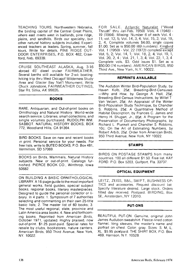**TEACHING TOURS. Northwestern Nebraska, the birding capital of the Central Great Plains, where east meets west in badlands, pine ridge, plains, and sandhills. Birds our specialty, but other natural history subjects included. Experienced teachers as leaders. Spring, summer, fall tours. Write for details. PINE RIDGE OUT-DOOR ENTERPRISES, P.O. BOX 482, Crawford, Neb. 69339.** 

**CRUISE SOUTHEAST ALASKA, Aug. 3-16 abroad 45' diesel cruiser FAIRWEATHER. Several berths still available for 2-wk boatinghiking trip thru West Chicagof Wilderness Study Area and Glacier Bay Nat'l Monument. Write Chuck Johnstone, FAIRWEATHER OUTINGS, Star Rt. Sitka, AK 99835.** 

#### **BOOKS**

RARE, Antiquarian, and Out-of-print books on **Ornithology and Natural History. World-wide search service. Libraries, small collections, and**  single volumes purchased. RUDOLPH WM. **SABBOT. NATURAL HISTORY BOOKS, BOX 772, Woodland Hills, CA 91364.** 

**BIRD BOOKS. Save on new and recent books •n print. Personal service for your needs. For free lists, write to BUTEO BOOKS, P.O. Box 481, Vermillion, SD 57069.** 

**BOOKS on Birds, Mammals, Natural History subjects. New or out-of-print. Catalogs furrushed PIERCE BOOK CO., Winthrop, Iowa 50682.** 

**ON BUILDING A BASIC ORNITHOLOGICAL LIBRARY. A 16-page guide to the most important general works, field guides, special subject books, regional books, literary masterpieces. Designed to guide the personal collector or li**brary. In 4 parts: 1. Symposium of 7 authorities **selecting and commenting on their own 25-title basic lists; 2. The master list of 60 books; 3. The most useful regional, state, province and Latin America area books; 4. New and forthcoming books. Reprinted from American Birds, October 1971, updated. Highly praised, now out-of-print. \$1.25 post-paid. Special rates for resale by clubs, bookstores, nature centers. American Birds, 950 Third Avenue, New York, NY. 10022.** 

**FOR SALE. Atlantic Naturalist ("Wood Thrush" thru Jan-Feb. 1950) Vols. zi (1948)- 19 (1964). Missing: Number 6 of each Vol. 4- 11; vol. 12, 5; Vol. 14, 3, 4; Vol. 15, 2; Vol. 19, 2, 4. Complete volumes \$4.00, single copies \$1.00. Set as is \$50.00 (69 numbers). Kingbird Vol. 1 (1950) - Vol. 22 (1972) complete except Vol. 5, 2; Vol. 14, 1; Vol. 18, 2, 4; Vol. 19, 1, Vol. 20, 2, 4; Vol. 21, 1,3, 4; Vol. 22, 1,3,4 Complete vols. \$3. Odd issues \$1. Set as •s \$50.00 (74 numbers). AMERICAN BIRDS, 950 Third Ave., New York, N.Y. 10022.** 

#### **REPRINTS AVAILABLE**

**The Audubon Winter Bird-Population Study, by**  Haven Kolb, 25¢; Breeding-Bird-Censuses **--Why and How, by George A. Hall, 25½, Breeding-Bird Census Instructions, by Willet T Van Velzen, 25½; An Appraisal of the Winter Bird-Population Study Technique, by Chandler S. Robbins, 25½; A Quantitative Method of Habitat Description, by Frances C. James and Henry H. Shugart, Jr., 85½; A Program for the Preservation of Documentary Photographs, by Richard L. Plunkett and Chandler S. Robbins, 10c; On the Art of Estimating Numbers, by Robert Arbib, 25½. Order from American Birds, 950 Third Avenue, New York, NY 10022.** 

#### **STAMPS**

**BIRDS ON POSTAGE STAMPS from many countries. 100 all different \$1.50. Free list. KAY FORD. P.O. Box 5203, Gulfport, Fla. 33737.** 

#### **OPTICAL EQUIPMENT**

**LEITZ, ZEISS, B&L, SWIFT, BUSHNESS OP-TICS and accessories. Request discount list Specify literature desired. Large stock. Orders filled day received. Postpaid. BIRDING, Box 5E, Amsterdam, NY 12010.** 

#### **PUT-ONS**

**BEAUTIFUL PUT-ON Genuine, original John James Audubon sweatshirt. Fleece-lined cotton flannel, long sleeves, the master's name and portrait on chest. Color: gray. Sizes: S, M, L, XL. \$5.95 postpaid. THE SHIRT BOX, P.O. Box 469, Harrison, N.Y. 10528.**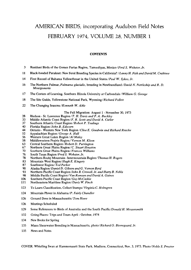## **AMERICAN BIRDS, incorporating Audubon Field Notes**  FEBRUARY 1974, VOLUME 28, NUMBER 1

#### **CONTENTS**

- **3 Resident Birds of the Gomez Farias Region, Tamaulipas, Mexico/Fred S. Webster, Jr.**
- **11 Black-hooded Parakeet: New Feral Breeding Species in California? / Lanny H. Fisk and David M. Crabtree**
- **14 First Record of Bahama Yellowthroat in the United States/Paul W. Sykes, Jr.**
- **16 The Northern Fulmar, Fulmarus glacialis, breeding in Newfoundland/David N. Nettleship and R. D. Montgomerie**
- **17 The Centers of Learning, Southern Illinois University at Carbondale/William G. George**
- **18 The Site Guide, Yellowstone National Park, Wyoming/Richard Follett**
- **22 The Changing Seasons/Kenneth W. Able**

#### **The Fall Migration: August 1 - November 30, 1973**

- **28 Hudson St. Lawrence Region/T. H. Davis and P. A. Buckley**
- **33 Middle Atlantic Coast Region/F. R. Scott and David A. Cutler**
- **37 Southern Atlantic Coast Region/Robert P. Teulings**
- **40 Florida Region/John B. Edscorn**
- **44 Ontario Western New York Region/Clive E. Goodwin and Richard Rosche**
- **52 Appalachian Region /George A. Hall**
- **56 Western Great Lakes Region/Al Maley**
- **58 Middlewestern Prairie Region/Vernon M. Kleen**
- **63 Central Southern Region/Robert D. Purrington**
- **67 Northern Great Plains Region/C. Stuart Houston**
- **70 Southern Great Plains Region/Frances Williams**
- **76 South Texas Region/Fred S. Webster, Jr.**
- **78 Northern Rocky Mountain- Intermountain Region/Thomas H. Rogers**
- **83 Mountain West Region/Hugh E. Kingery**
- 87 Southwest Region/Ted Parker<br>90 Alaska Region/Daniel D. Gibs
- **90 Alaska Region/Daniel D. Gibson and G. Vernon Byrd**
- **93 Northern Pacific Coast Region/John B. Crowell, Jr. and Harry B. Nehls**
- 98 Middle Pacific Coast Region/Van Remsen and David A. Gaines<br>106 Southern Pacific Coast Region/Guy McCaskie
- **106 Southern Pacific Coast Region/Guy McCaskie**
- **111 Northeastern Maritime Region/Davis W. Finch**
- **123 To Learn Classification, Collect Stamps/Virginia C. Holmgren**
- **124 Mountain Plover in Alabama/P. Fairly Chandler**
- **126 Ground Dove in Massachusetts/Tom Howe**
- **126 Meetings Scheduled**
- **129 Some References to Birds of Australia and the South Pacific/Donald H. Messersmith**
- **132 Going Places: Trips and Tours April October, 1974**
- **134 New Books for Spring**
- **135 Manx Shearwater Breeding in Massachusetts, photo/Richard O. Bierregaard. Jr.**
- **135 News and Notes**

**COVER. Whistling Swan at Hammonasett State Park, Madison, Connecticut, Nov. 3, 1973. Photo/Noble S. Proctor**